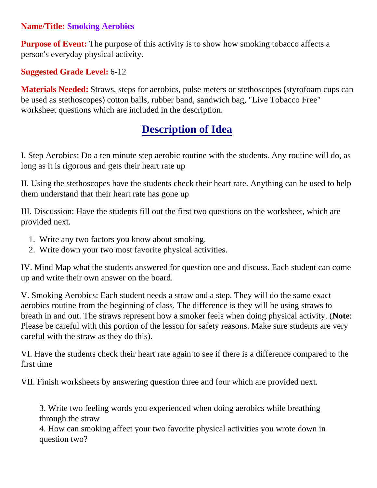## **Name/Title: Smoking Aerobics**

**Purpose of Event:** The purpose of this activity is to show how smoking tobacco affects a person's everyday physical activity.

## **Suggested Grade Level:** 6-12

**Materials Needed:** Straws, steps for aerobics, pulse meters or stethoscopes (styrofoam cups can be used as stethoscopes) cotton balls, rubber band, sandwich bag, "Live Tobacco Free" worksheet questions which are included in the description.

## **Description of Idea**

I. Step Aerobics: Do a ten minute step aerobic routine with the students. Any routine will do, as long as it is rigorous and gets their heart rate up

II. Using the stethoscopes have the students check their heart rate. Anything can be used to help them understand that their heart rate has gone up

III. Discussion: Have the students fill out the first two questions on the worksheet, which are provided next.

- 1. Write any two factors you know about smoking.
- 2. Write down your two most favorite physical activities.

IV. Mind Map what the students answered for question one and discuss. Each student can come up and write their own answer on the board.

V. Smoking Aerobics: Each student needs a straw and a step. They will do the same exact aerobics routine from the beginning of class. The difference is they will be using straws to breath in and out. The straws represent how a smoker feels when doing physical activity. (**Note**: Please be careful with this portion of the lesson for safety reasons. Make sure students are very careful with the straw as they do this).

VI. Have the students check their heart rate again to see if there is a difference compared to the first time

VII. Finish worksheets by answering question three and four which are provided next.

3. Write two feeling words you experienced when doing aerobics while breathing through the straw

4. How can smoking affect your two favorite physical activities you wrote down in question two?